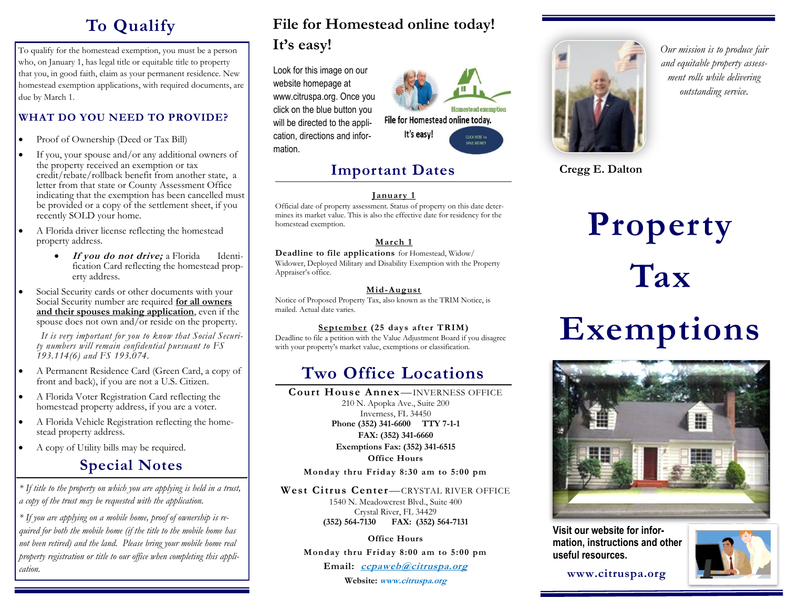## **To Qualify**

To qualify for the homestead exemption, you must be a person who, on January 1, has legal title or equitable title to property that you, in good faith, claim as your permanent residence. New homestead exemption applications, with required documents, are due by March 1.

#### **WHAT DO YOU NEED TO PROVIDE?**

- Proof of Ownership (Deed or Tax Bill)
- If you, your spouse and/or any additional owners of the property received an exemption or tax credit/rebate/rollback benefit from another state, a letter from that state or County Assessment Office indicating that the exemption has been cancelled must be provided or a copy of the settlement sheet, if you recently SOLD your home.
- A Florida driver license reflecting the homestead property address.
	- **If you do not drive;** a Florida Identification Card reflecting the homestead property address.
- Social Security cards or other documents with your Social Security number are required **for all owners and their spouses making application**, even if the spouse does not own and/or reside on the property.

 *It is very important for you to know that Social Security numbers will remain confidential pursuant to FS 193.114(6) and FS 193.074.* 

- A Permanent Residence Card (Green Card, a copy of front and back), if you are not a U.S. Citizen.
- A Florida Voter Registration Card reflecting the homestead property address, if you are a voter.
- A Florida Vehicle Registration reflecting the homestead property address.
- A copy of Utility bills may be required.

## **Special Notes**

*\* If title to the property on which you are applying is held in a trust, a copy of the trust may be requested with the application.*

*\* If you are applying on a mobile home, proof of ownership is required for both the mobile home (if the title to the mobile home has not been retired) and the land. Please bring your mobile home real property registration or title to our office when completing this application.*

## **File for Homestead online today! It's easy!**

Look for this image on our website homepage at www.citruspa.org. Once you click on the blue button you will be directed to the application, directions and information.



### **Important Dates**

#### **January 1**

Official date of property assessment. Status of property on this date determines its market value. This is also the effective date for residency for the homestead exemption.

#### **March 1**

**Deadline to file applications** for Homestead, Widow/ Widower, Deployed Military and Disability Exemption with the Property Appraiser's office.

#### **Mid-August**

Notice of Proposed Property Tax, also known as the TRIM Notice, is mailed. Actual date varies.

#### **September (25 days after TRIM)**

Deadline to file a petition with the Value Adjustment Board if you disagree with your property's market value, exemptions or classification.

## **Two Office Locations**

**Court House Annex**—INVERNESS OFFICE 210 N. Apopka Ave., Suite 200 Inverness, FL 34450 **Phone (352) 341-6600 TTY 7-1-1 FAX: (352) 341-6660 Exemptions Fax: (352) 341-6515 Office Hours**

**Monday thru Friday 8:30 am to 5:00 pm**

#### **West Citrus Center**—CRYSTAL RIVER OFFICE

1540 N. Meadowcrest Blvd., Suite 400 Crystal River, FL 34429 **(352) 564-7130 FAX: (352) 564-7131**

**Office Hours Monday thru Friday 8:00 am to 5:00 pm Email: ccpaweb@citruspa.org Website: www.citruspa.org** 



*Our mission is to produce fair and equitable property assessment rolls while delivering outstanding service.*

**Cregg E. Dalton**

# **Property Tax**

## **Exemptions**



**Visit our website for information, instructions and other useful resources.**



 **www.citruspa.org**